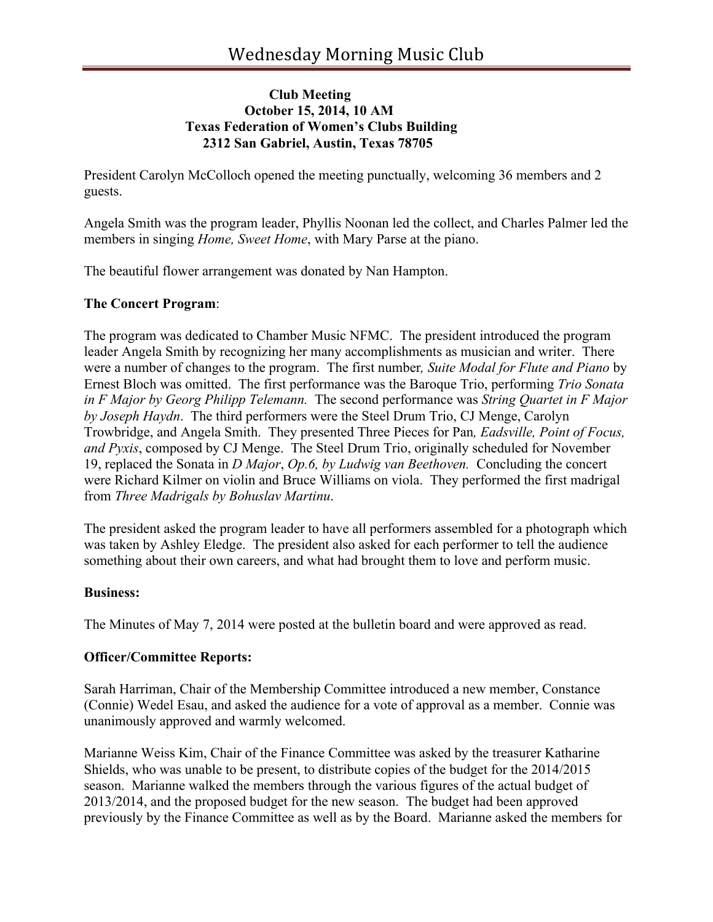# **Club Meeting October 15, 2014, 10 AM Texas Federation of Women's Clubs Building 2312 San Gabriel, Austin, Texas 78705**

President Carolyn McColloch opened the meeting punctually, welcoming 36 members and 2 guests.

Angela Smith was the program leader, Phyllis Noonan led the collect, and Charles Palmer led the members in singing *Home, Sweet Home*, with Mary Parse at the piano.

The beautiful flower arrangement was donated by Nan Hampton.

# **The Concert Program**:

The program was dedicated to Chamber Music NFMC. The president introduced the program leader Angela Smith by recognizing her many accomplishments as musician and writer. There were a number of changes to the program. The first number*, Suite Modal for Flute and Piano* by Ernest Bloch was omitted. The first performance was the Baroque Trio, performing *Trio Sonata in F Major by Georg Philipp Telemann.* The second performance was *String Quartet in F Major by Joseph Haydn*. The third performers were the Steel Drum Trio, CJ Menge, Carolyn Trowbridge, and Angela Smith. They presented Three Pieces for Pan*, Eadsville, Point of Focus, and Pyxis*, composed by CJ Menge. The Steel Drum Trio, originally scheduled for November 19, replaced the Sonata in *D Major*, *Op.6, by Ludwig van Beethoven.* Concluding the concert were Richard Kilmer on violin and Bruce Williams on viola. They performed the first madrigal from *Three Madrigals by Bohuslav Martinu*.

The president asked the program leader to have all performers assembled for a photograph which was taken by Ashley Eledge. The president also asked for each performer to tell the audience something about their own careers, and what had brought them to love and perform music.

## **Business:**

The Minutes of May 7, 2014 were posted at the bulletin board and were approved as read.

# **Officer/Committee Reports:**

Sarah Harriman, Chair of the Membership Committee introduced a new member, Constance (Connie) Wedel Esau, and asked the audience for a vote of approval as a member. Connie was unanimously approved and warmly welcomed.

Marianne Weiss Kim, Chair of the Finance Committee was asked by the treasurer Katharine Shields, who was unable to be present, to distribute copies of the budget for the 2014/2015 season. Marianne walked the members through the various figures of the actual budget of 2013/2014, and the proposed budget for the new season. The budget had been approved previously by the Finance Committee as well as by the Board. Marianne asked the members for